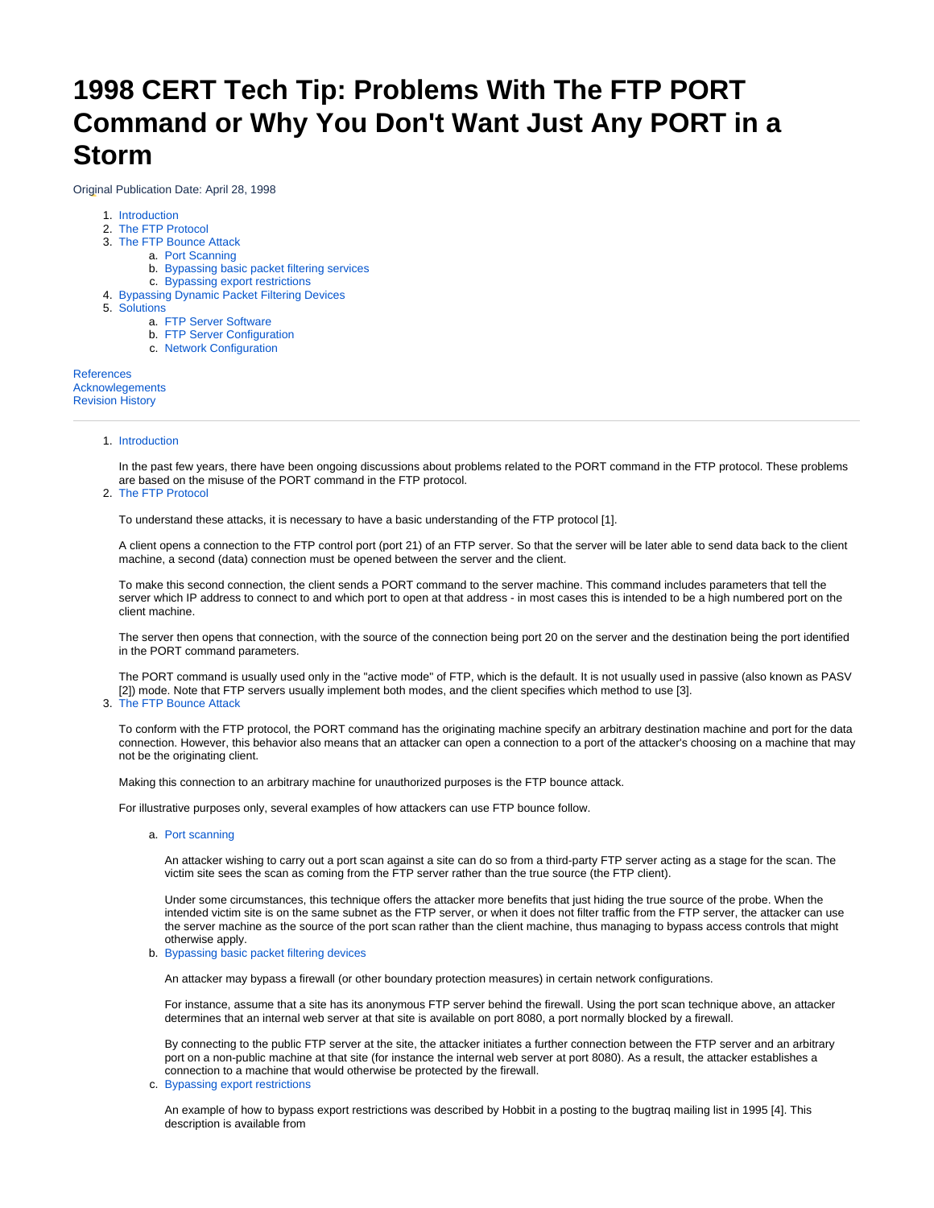# **1998 CERT Tech Tip: Problems With The FTP PORT Command or Why You Don't Want Just Any PORT in a Storm**

Original Publication Date: April 28, 1998

- 1. [Introduction](#page-0-0)
- 2. [The FTP Protocol](#page-0-1)
- 3. [The FTP Bounce Attack](#page-0-2)
	- a. [Port Scanning](#page-0-3)
	- b. [Bypassing basic packet filtering services](#page-0-4)
	- c. [Bypassing export restrictions](#page-0-5)
- 4. [Bypassing Dynamic Packet Filtering Devices](#page-1-0)
- 5. [Solutions](#page-1-1)
	- a. [FTP Server Software](#page-1-2)
	- b. [FTP Server Configuration](#page-1-3)
	- c. [Network Configuration](#page-1-4)

<span id="page-0-0"></span>[References](#page-2-0) [Acknowlegements](#page-2-1) [Revision History](#page-2-2)

# 1. Introduction

In the past few years, there have been ongoing discussions about problems related to the PORT command in the FTP protocol. These problems are based on the misuse of the PORT command in the FTP protocol.

## <span id="page-0-1"></span>2. The FTP Protocol

To understand these attacks, it is necessary to have a basic understanding of the FTP protocol [1].

A client opens a connection to the FTP control port (port 21) of an FTP server. So that the server will be later able to send data back to the client machine, a second (data) connection must be opened between the server and the client.

To make this second connection, the client sends a PORT command to the server machine. This command includes parameters that tell the server which IP address to connect to and which port to open at that address - in most cases this is intended to be a high numbered port on the client machine.

The server then opens that connection, with the source of the connection being port 20 on the server and the destination being the port identified in the PORT command parameters.

The PORT command is usually used only in the "active mode" of FTP, which is the default. It is not usually used in passive (also known as PASV [2]) mode. Note that FTP servers usually implement both modes, and the client specifies which method to use [3].

#### <span id="page-0-2"></span>3. The FTP Bounce Attack

To conform with the FTP protocol, the PORT command has the originating machine specify an arbitrary destination machine and port for the data connection. However, this behavior also means that an attacker can open a connection to a port of the attacker's choosing on a machine that may not be the originating client.

Making this connection to an arbitrary machine for unauthorized purposes is the FTP bounce attack.

<span id="page-0-3"></span>For illustrative purposes only, several examples of how attackers can use FTP bounce follow.

a. Port scanning

An attacker wishing to carry out a port scan against a site can do so from a third-party FTP server acting as a stage for the scan. The victim site sees the scan as coming from the FTP server rather than the true source (the FTP client).

Under some circumstances, this technique offers the attacker more benefits that just hiding the true source of the probe. When the intended victim site is on the same subnet as the FTP server, or when it does not filter traffic from the FTP server, the attacker can use the server machine as the source of the port scan rather than the client machine, thus managing to bypass access controls that might otherwise apply.

<span id="page-0-4"></span>b. Bypassing basic packet filtering devices

An attacker may bypass a firewall (or other boundary protection measures) in certain network configurations.

For instance, assume that a site has its anonymous FTP server behind the firewall. Using the port scan technique above, an attacker determines that an internal web server at that site is available on port 8080, a port normally blocked by a firewall.

By connecting to the public FTP server at the site, the attacker initiates a further connection between the FTP server and an arbitrary port on a non-public machine at that site (for instance the internal web server at port 8080). As a result, the attacker establishes a connection to a machine that would otherwise be protected by the firewall.

<span id="page-0-5"></span>c. Bypassing export restrictions

An example of how to bypass export restrictions was described by Hobbit in a posting to the bugtraq mailing list in 1995 [4]. This description is available from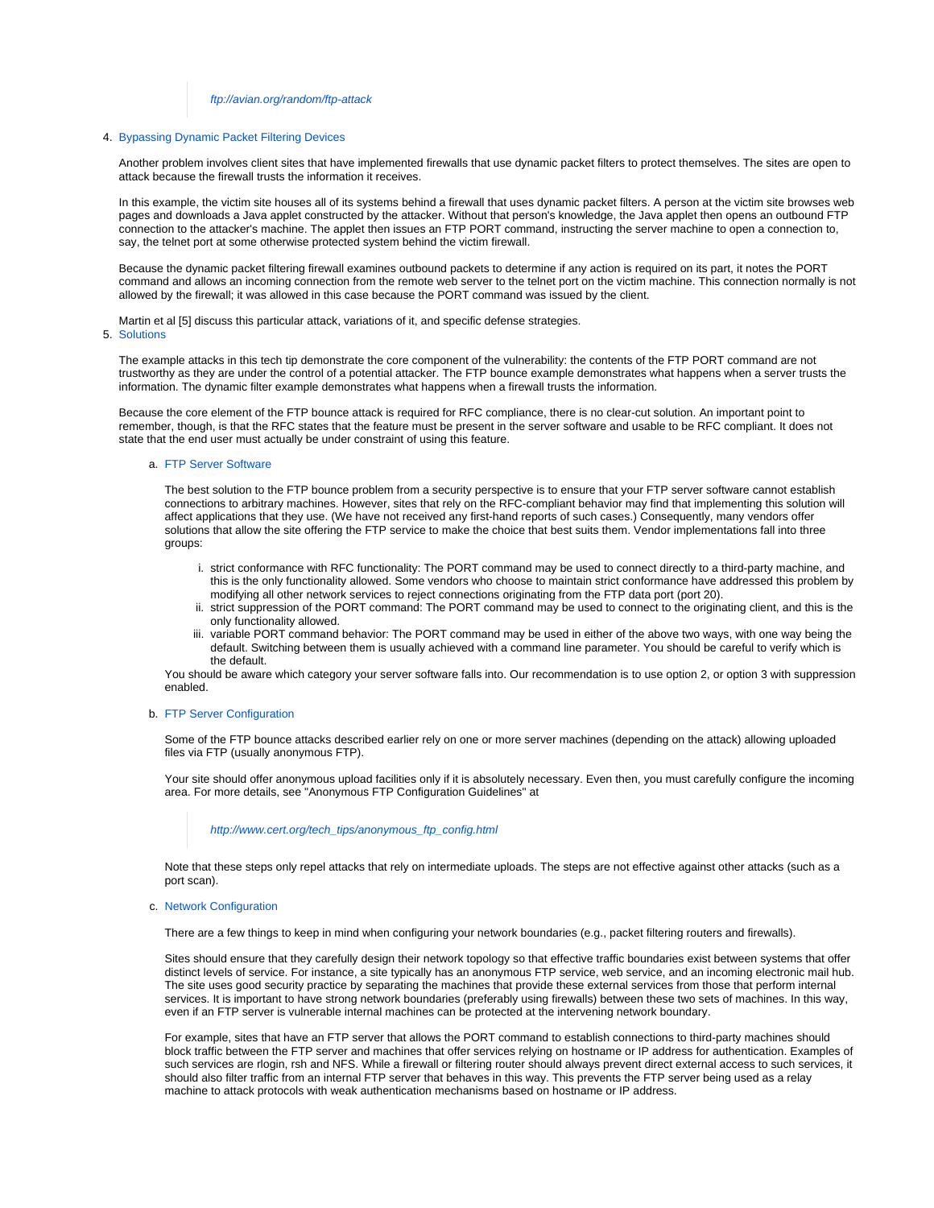## <ftp://avian.org/random/ftp-attack>

#### <span id="page-1-0"></span>4. Bypassing Dynamic Packet Filtering Devices

Another problem involves client sites that have implemented firewalls that use dynamic packet filters to protect themselves. The sites are open to attack because the firewall trusts the information it receives.

In this example, the victim site houses all of its systems behind a firewall that uses dynamic packet filters. A person at the victim site browses web pages and downloads a Java applet constructed by the attacker. Without that person's knowledge, the Java applet then opens an outbound FTP connection to the attacker's machine. The applet then issues an FTP PORT command, instructing the server machine to open a connection to, say, the telnet port at some otherwise protected system behind the victim firewall.

Because the dynamic packet filtering firewall examines outbound packets to determine if any action is required on its part, it notes the PORT command and allows an incoming connection from the remote web server to the telnet port on the victim machine. This connection normally is not allowed by the firewall; it was allowed in this case because the PORT command was issued by the client.

Martin et al [5] discuss this particular attack, variations of it, and specific defense strategies.

#### <span id="page-1-1"></span>5. Solutions

The example attacks in this tech tip demonstrate the core component of the vulnerability: the contents of the FTP PORT command are not trustworthy as they are under the control of a potential attacker. The FTP bounce example demonstrates what happens when a server trusts the information. The dynamic filter example demonstrates what happens when a firewall trusts the information.

<span id="page-1-2"></span>Because the core element of the FTP bounce attack is required for RFC compliance, there is no clear-cut solution. An important point to remember, though, is that the RFC states that the feature must be present in the server software and usable to be RFC compliant. It does not state that the end user must actually be under constraint of using this feature.

#### a. FTP Server Software

The best solution to the FTP bounce problem from a security perspective is to ensure that your FTP server software cannot establish connections to arbitrary machines. However, sites that rely on the RFC-compliant behavior may find that implementing this solution will affect applications that they use. (We have not received any first-hand reports of such cases.) Consequently, many vendors offer solutions that allow the site offering the FTP service to make the choice that best suits them. Vendor implementations fall into three groups:

- i. strict conformance with RFC functionality: The PORT command may be used to connect directly to a third-party machine, and this is the only functionality allowed. Some vendors who choose to maintain strict conformance have addressed this problem by modifying all other network services to reject connections originating from the FTP data port (port 20).
- ii. strict suppression of the PORT command: The PORT command may be used to connect to the originating client, and this is the only functionality allowed.
- iii. variable PORT command behavior: The PORT command may be used in either of the above two ways, with one way being the default. Switching between them is usually achieved with a command line parameter. You should be careful to verify which is the default.

You should be aware which category your server software falls into. Our recommendation is to use option 2, or option 3 with suppression enabled.

## <span id="page-1-3"></span>b. FTP Server Configuration

Some of the FTP bounce attacks described earlier rely on one or more server machines (depending on the attack) allowing uploaded files via FTP (usually anonymous FTP).

Your site should offer anonymous upload facilities only if it is absolutely necessary. Even then, you must carefully configure the incoming area. For more details, see "Anonymous FTP Configuration Guidelines" at

## [http://www.cert.org/tech\\_tips/anonymous\\_ftp\\_config.html](http://www.cert.org/tech_tips/anonymous_ftp_config.html)

Note that these steps only repel attacks that rely on intermediate uploads. The steps are not effective against other attacks (such as a port scan).

<span id="page-1-4"></span>c. Network Configuration

There are a few things to keep in mind when configuring your network boundaries (e.g., packet filtering routers and firewalls).

Sites should ensure that they carefully design their network topology so that effective traffic boundaries exist between systems that offer distinct levels of service. For instance, a site typically has an anonymous FTP service, web service, and an incoming electronic mail hub. The site uses good security practice by separating the machines that provide these external services from those that perform internal services. It is important to have strong network boundaries (preferably using firewalls) between these two sets of machines. In this way, even if an FTP server is vulnerable internal machines can be protected at the intervening network boundary.

For example, sites that have an FTP server that allows the PORT command to establish connections to third-party machines should block traffic between the FTP server and machines that offer services relying on hostname or IP address for authentication. Examples of such services are rlogin, rsh and NFS. While a firewall or filtering router should always prevent direct external access to such services, it should also filter traffic from an internal FTP server that behaves in this way. This prevents the FTP server being used as a relay machine to attack protocols with weak authentication mechanisms based on hostname or IP address.